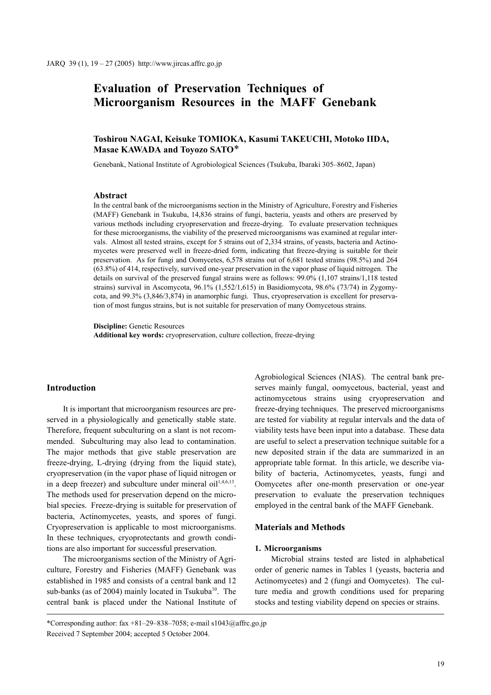# **Evaluation of Preservation Techniques of Microorganism Resources in the MAFF Genebank**

# **Toshirou NAGAI, Keisuke TOMIOKA, Kasumi TAKEUCHI, Motoko IIDA, Masae KAWADA and Toyozo SATO**\*

Genebank, National Institute of Agrobiological Sciences (Tsukuba, Ibaraki 305–8602, Japan)

# **Abstract**

In the central bank of the microorganisms section in the Ministry of Agriculture, Forestry and Fisheries (MAFF) Genebank in Tsukuba, 14,836 strains of fungi, bacteria, yeasts and others are preserved by various methods including cryopreservation and freeze-drying. To evaluate preservation techniques for these microorganisms, the viability of the preserved microorganisms was examined at regular intervals. Almost all tested strains, except for 5 strains out of 2,334 strains, of yeasts, bacteria and Actinomycetes were preserved well in freeze-dried form, indicating that freeze-drying is suitable for their preservation. As for fungi and Oomycetes, 6,578 strains out of 6,681 tested strains (98.5%) and 264 (63.8%) of 414, respectively, survived one-year preservation in the vapor phase of liquid nitrogen. The details on survival of the preserved fungal strains were as follows: 99.0% (1,107 strains/1,118 tested strains) survival in Ascomycota, 96.1% (1,552/1,615) in Basidiomycota, 98.6% (73/74) in Zygomycota, and 99.3% (3,846/3,874) in anamorphic fungi. Thus, cryopreservation is excellent for preservation of most fungus strains, but is not suitable for preservation of many Oomycetous strains.

**Discipline:** Genetic Resources **Additional key words:** cryopreservation, culture collection, freeze-drying

## **Introduction**

It is important that microorganism resources are preserved in a physiologically and genetically stable state. Therefore, frequent subculturing on a slant is not recommended. Subculturing may also lead to contamination. The major methods that give stable preservation are freeze-drying, L-drying (drying from the liquid state), cryopreservation (in the vapor phase of liquid nitrogen or in a deep freezer) and subculture under mineral oil $1,4,6,13$ . The methods used for preservation depend on the microbial species. Freeze-drying is suitable for preservation of bacteria, Actinomycetes, yeasts, and spores of fungi. Cryopreservation is applicable to most microorganisms. In these techniques, cryoprotectants and growth conditions are also important for successful preservation.

The microorganisms section of the Ministry of Agriculture, Forestry and Fisheries (MAFF) Genebank was established in 1985 and consists of a central bank and 12 sub-banks (as of 2004) mainly located in Tsukuba $10$ . The central bank is placed under the National Institute of

Agrobiological Sciences (NIAS). The central bank preserves mainly fungal, oomycetous, bacterial, yeast and actinomycetous strains using cryopreservation and freeze-drying techniques. The preserved microorganisms are tested for viability at regular intervals and the data of viability tests have been input into a database. These data are useful to select a preservation technique suitable for a new deposited strain if the data are summarized in an appropriate table format. In this article, we describe viability of bacteria, Actinomycetes, yeasts, fungi and Oomycetes after one-month preservation or one-year preservation to evaluate the preservation techniques employed in the central bank of the MAFF Genebank.

# **Materials and Methods**

#### **1. Microorganisms**

Microbial strains tested are listed in alphabetical order of generic names in Tables 1 (yeasts, bacteria and Actinomycetes) and 2 (fungi and Oomycetes). The culture media and growth conditions used for preparing stocks and testing viability depend on species or strains.

\*Corresponding author: fax +81–29–838–7058; e-mail  $s1043@a$  ffrc.go.jp Received 7 September 2004; accepted 5 October 2004.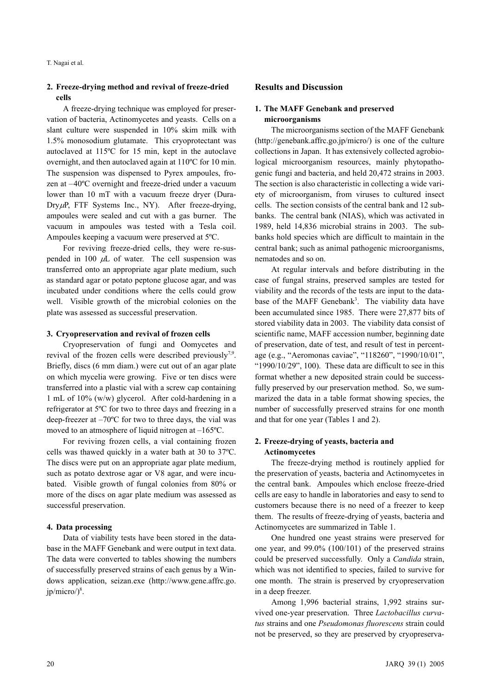T. Nagai et al.

## **2. Freeze-drying method and revival of freeze-dried cells**

A freeze-drying technique was employed for preservation of bacteria, Actinomycetes and yeasts. Cells on a slant culture were suspended in 10% skim milk with 1.5% monosodium glutamate. This cryoprotectant was autoclaved at 115ºC for 15 min, kept in the autoclave overnight, and then autoclaved again at 110ºC for 10 min. The suspension was dispensed to Pyrex ampoules, frozen at –40ºC overnight and freeze-dried under a vacuum lower than 10 mT with a vacuum freeze dryer (Dura- $Dry\mu P$ , FTF Systems Inc., NY). After freeze-drying, ampoules were sealed and cut with a gas burner. The vacuum in ampoules was tested with a Tesla coil. Ampoules keeping a vacuum were preserved at 5ºC.

For reviving freeze-dried cells, they were re-suspended in 100  $\mu$ L of water. The cell suspension was transferred onto an appropriate agar plate medium, such as standard agar or potato peptone glucose agar, and was incubated under conditions where the cells could grow well. Visible growth of the microbial colonies on the plate was assessed as successful preservation.

## **3. Cryopreservation and revival of frozen cells**

Cryopreservation of fungi and Oomycetes and revival of the frozen cells were described previously<sup>7,9</sup>. Briefly, discs (6 mm diam.) were cut out of an agar plate on which mycelia were growing. Five or ten discs were transferred into a plastic vial with a screw cap containing 1 mL of 10% (w/w) glycerol. After cold-hardening in a refrigerator at 5ºC for two to three days and freezing in a deep-freezer at –70ºC for two to three days, the vial was moved to an atmosphere of liquid nitrogen at –165ºC.

For reviving frozen cells, a vial containing frozen cells was thawed quickly in a water bath at 30 to 37ºC. The discs were put on an appropriate agar plate medium, such as potato dextrose agar or V8 agar, and were incubated. Visible growth of fungal colonies from 80% or more of the discs on agar plate medium was assessed as successful preservation.

#### **4. Data processing**

Data of viability tests have been stored in the database in the MAFF Genebank and were output in text data. The data were converted to tables showing the numbers of successfully preserved strains of each genus by a Windows application, seizan.exe (http://www.gene.affrc.go. jp/micro/)<sup>8</sup>.

## **Results and Discussion**

# **1. The MAFF Genebank and preserved microorganisms**

The microorganisms section of the MAFF Genebank (http://genebank.affrc.go.jp/micro/) is one of the culture collections in Japan. It has extensively collected agrobiological microorganism resources, mainly phytopathogenic fungi and bacteria, and held 20,472 strains in 2003. The section is also characteristic in collecting a wide variety of microorganism, from viruses to cultured insect cells. The section consists of the central bank and 12 subbanks. The central bank (NIAS), which was activated in 1989, held 14,836 microbial strains in 2003. The subbanks hold species which are difficult to maintain in the central bank; such as animal pathogenic microorganisms, nematodes and so on.

At regular intervals and before distributing in the case of fungal strains, preserved samples are tested for viability and the records of the tests are input to the database of the MAFF Genebank<sup>3</sup>. The viability data have been accumulated since 1985. There were 27,877 bits of stored viability data in 2003. The viability data consist of scientific name, MAFF accession number, beginning date of preservation, date of test, and result of test in percentage (e.g., "Aeromonas caviae", "118260", "1990/10/01", "1990/10/29", 100). These data are difficult to see in this format whether a new deposited strain could be successfully preserved by our preservation method. So, we summarized the data in a table format showing species, the number of successfully preserved strains for one month and that for one year (Tables 1 and 2).

# **2. Freeze-drying of yeasts, bacteria and Actinomycetes**

The freeze-drying method is routinely applied for the preservation of yeasts, bacteria and Actinomycetes in the central bank. Ampoules which enclose freeze-dried cells are easy to handle in laboratories and easy to send to customers because there is no need of a freezer to keep them. The results of freeze-drying of yeasts, bacteria and Actinomycetes are summarized in Table 1.

One hundred one yeast strains were preserved for one year, and 99.0% (100/101) of the preserved strains could be preserved successfully. Only a *Candida* strain, which was not identified to species, failed to survive for one month. The strain is preserved by cryopreservation in a deep freezer.

Among 1,996 bacterial strains, 1,992 strains survived one-year preservation. Three *Lactobacillus curvatus* strains and one *Pseudomonas fluorescens* strain could not be preserved, so they are preserved by cryopreserva-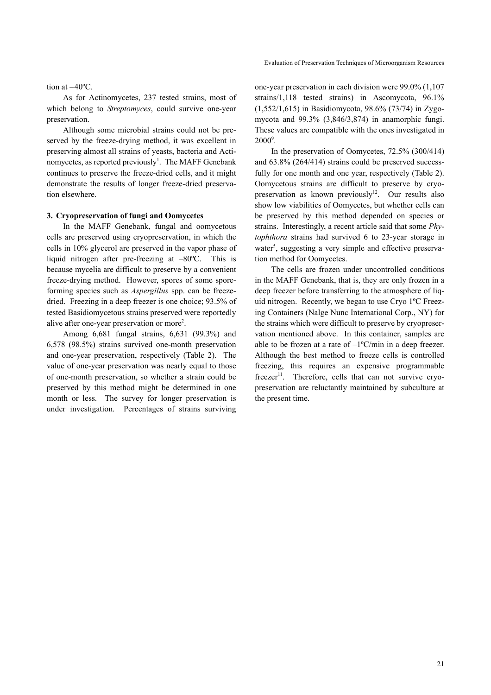#### tion at –40ºC.

As for Actinomycetes, 237 tested strains, most of which belong to *Streptomyces*, could survive one-year preservation.

Although some microbial strains could not be preserved by the freeze-drying method, it was excellent in preserving almost all strains of yeasts, bacteria and Actinomycetes, as reported previously<sup>1</sup>. The MAFF Genebank continues to preserve the freeze-dried cells, and it might demonstrate the results of longer freeze-dried preservation elsewhere.

#### **3. Cryopreservation of fungi and Oomycetes**

In the MAFF Genebank, fungal and oomycetous cells are preserved using cryopreservation, in which the cells in 10% glycerol are preserved in the vapor phase of liquid nitrogen after pre-freezing at –80ºC. This is because mycelia are difficult to preserve by a convenient freeze-drying method. However, spores of some sporeforming species such as *Aspergillus* spp. can be freezedried. Freezing in a deep freezer is one choice; 93.5% of tested Basidiomycetous strains preserved were reportedly alive after one-year preservation or more<sup>2</sup>.

Among 6,681 fungal strains, 6,631 (99.3%) and 6,578 (98.5%) strains survived one-month preservation and one-year preservation, respectively (Table 2). The value of one-year preservation was nearly equal to those of one-month preservation, so whether a strain could be preserved by this method might be determined in one month or less. The survey for longer preservation is under investigation. Percentages of strains surviving one-year preservation in each division were 99.0% (1,107 strains/1,118 tested strains) in Ascomycota, 96.1% (1,552/1,615) in Basidiomycota, 98.6% (73/74) in Zygomycota and 99.3% (3,846/3,874) in anamorphic fungi. These values are compatible with the ones investigated in 2000<sup>9</sup>.

In the preservation of Oomycetes, 72.5% (300/414) and 63.8% (264/414) strains could be preserved successfully for one month and one year, respectively (Table 2). Oomycetous strains are difficult to preserve by cryopreservation as known previously<sup>12</sup>. Our results also show low viabilities of Oomycetes, but whether cells can be preserved by this method depended on species or strains. Interestingly, a recent article said that some *Phytophthora* strains had survived 6 to 23-year storage in water<sup>5</sup>, suggesting a very simple and effective preservation method for Oomycetes.

The cells are frozen under uncontrolled conditions in the MAFF Genebank, that is, they are only frozen in a deep freezer before transferring to the atmosphere of liquid nitrogen. Recently, we began to use Cryo 1ºC Freezing Containers (Nalge Nunc International Corp., NY) for the strains which were difficult to preserve by cryopreservation mentioned above. In this container, samples are able to be frozen at a rate of  $-1^{\circ}$ C/min in a deep freezer. Although the best method to freeze cells is controlled freezing, this requires an expensive programmable freezer<sup>11</sup>. Therefore, cells that can not survive cryopreservation are reluctantly maintained by subculture at the present time.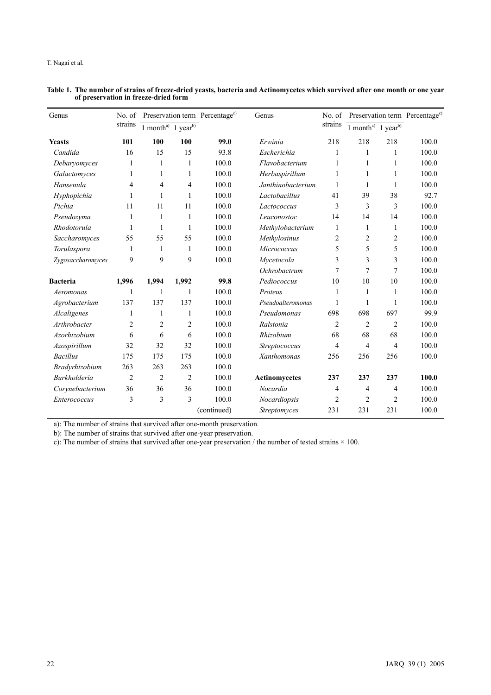### T. Nagai et al.

| Genus             | No. of<br>strains | Preservation term Percentage <sup>c)</sup> |                |             | Genus                | No. of         | Preservation term Percentage <sup>c)</sup>     |                |       |
|-------------------|-------------------|--------------------------------------------|----------------|-------------|----------------------|----------------|------------------------------------------------|----------------|-------|
|                   |                   | 1 month <sup>a)</sup> 1 year <sup>b)</sup> |                |             |                      | strains        | $1$ month <sup>a)</sup> $1$ year <sup>b)</sup> |                |       |
| <b>Yeasts</b>     | 101               | 100                                        | 100            | 99.0        | Erwinia              | 218            | 218                                            | 218            | 100.0 |
| Candida           | 16                | 15                                         | 15             | 93.8        | Escherichia          | 1              | 1                                              | 1              | 100.0 |
| Debaryomyces      | 1                 | 1                                          | 1              | 100.0       | Flavobacterium       | 1              | $\mathbf{1}$                                   | 1              | 100.0 |
| Galactomyces      | 1                 | 1                                          | 1              | 100.0       | Herbaspirillum       | 1              | 1                                              | 1              | 100.0 |
| Hansenula         | 4                 | 4                                          | $\overline{4}$ | 100.0       | Janthinobacterium    | 1              | 1                                              | 1              | 100.0 |
| Hyphopichia       | 1                 | 1                                          | 1              | 100.0       | Lactobacillus        | 41             | 39                                             | 38             | 92.7  |
| Pichia            | 11                | 11                                         | 11             | 100.0       | Lactococcus          | 3              | 3                                              | 3              | 100.0 |
| Pseudozyma        | 1                 | $\mathbf{1}$                               | 1              | 100.0       | Leuconostoc          | 14             | 14                                             | 14             | 100.0 |
| Rhodotorula       | 1                 | $\mathbf{1}$                               | 1              | 100.0       | Methylobacterium     | 1              | 1                                              | 1              | 100.0 |
| Saccharomyces     | 55                | 55                                         | 55             | 100.0       | Methylosinus         | 2              | $\boldsymbol{2}$                               | $\overline{c}$ | 100.0 |
| Torulaspora       | 1                 | $\mathbf{1}$                               | 1              | 100.0       | Micrococcus          | 5              | 5                                              | 5              | 100.0 |
| Zygosaccharomyces | 9                 | 9                                          | 9              | 100.0       | Mycetocola           | 3              | 3                                              | 3              | 100.0 |
|                   |                   |                                            |                |             | Ochrobactrum         | 7              | $\overline{7}$                                 | $\overline{7}$ | 100.0 |
| <b>Bacteria</b>   | 1,996             | 1,994                                      | 1,992          | 99.8        | Pediococcus          | 10             | 10                                             | 10             | 100.0 |
| Aeromonas         | 1                 | $\mathbf{1}$                               | 1              | 100.0       | Proteus              | 1              | 1                                              | 1              | 100.0 |
| Agrobacterium     | 137               | 137                                        | 137            | 100.0       | Pseudoalteromonas    | 1              | 1                                              | 1              | 100.0 |
| Alcaligenes       | 1                 | 1                                          | 1              | 100.0       | Pseudomonas          | 698            | 698                                            | 697            | 99.9  |
| Arthrobacter      | $\overline{c}$    | $\overline{2}$                             | $\overline{2}$ | 100.0       | Ralstonia            | $\overline{2}$ | $\overline{2}$                                 | $\overline{2}$ | 100.0 |
| Azorhizobium      | 6                 | 6                                          | 6              | 100.0       | Rhizobium            | 68             | 68                                             | 68             | 100.0 |
| Azospirillum      | 32                | 32                                         | 32             | 100.0       | Streptococcus        | 4              | $\overline{4}$                                 | $\overline{4}$ | 100.0 |
| <b>Bacillus</b>   | 175               | 175                                        | 175            | 100.0       | Xanthomonas          | 256            | 256                                            | 256            | 100.0 |
| Bradyrhizobium    | 263               | 263                                        | 263            | 100.0       |                      |                |                                                |                |       |
| Burkholderia      | $\overline{2}$    | $\overline{c}$                             | $\mathfrak{2}$ | 100.0       | <b>Actinomycetes</b> | 237            | 237                                            | 237            | 100.0 |
| Corynebacterium   | 36                | 36                                         | 36             | 100.0       | Nocardia             | 4              | 4                                              | $\overline{4}$ | 100.0 |
| Enterococcus      | 3                 | 3                                          | 3              | 100.0       | Nocardiopsis         | $\overline{2}$ | $\overline{2}$                                 | $\overline{2}$ | 100.0 |
|                   |                   |                                            |                | (continued) | Streptomyces         | 231            | 231                                            | 231            | 100.0 |

#### **Table 1. The number of strains of freeze-dried yeasts, bacteria and Actinomycetes which survived after one month or one year of preservation in freeze-dried form**

a): The number of strains that survived after one-month preservation.

b): The number of strains that survived after one-year preservation.

c): The number of strains that survived after one-year preservation / the number of tested strains  $\times$  100.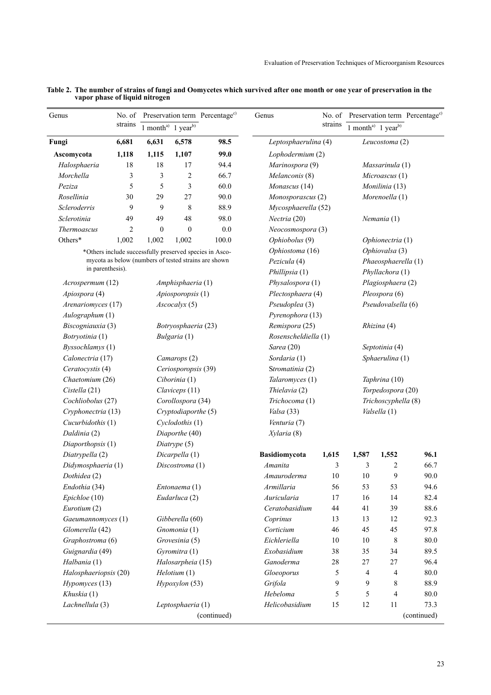| Genus                                 | No. of<br>strains | Preservation term Percentage <sup>c)</sup><br>month <sup>a)</sup> 1 year <sup>b)</sup><br>1 |                                                         | Genus       | No. of<br>strains    |                    | Preservation term Percentage <sup>c)</sup><br>1 month <sup>a)</sup> 1 year <sup>b)</sup> |                         |             |  |  |
|---------------------------------------|-------------------|---------------------------------------------------------------------------------------------|---------------------------------------------------------|-------------|----------------------|--------------------|------------------------------------------------------------------------------------------|-------------------------|-------------|--|--|
| Fungi                                 | 6,681             | 6,631                                                                                       | 6,578                                                   | 98.5        | Leptosphaerulina (4) |                    | Leucostoma (2)                                                                           |                         |             |  |  |
| Ascomycota                            | 1,118             | 1,115                                                                                       | 1,107                                                   | 99.0        | Lophodermium (2)     |                    |                                                                                          |                         |             |  |  |
| Halosphaeria                          | 18                | 18                                                                                          | 17                                                      | 94.4        | Marinospora (9)      | Massarinula (1)    |                                                                                          |                         |             |  |  |
| Morchella                             | 3                 | 3                                                                                           | 2                                                       | 66.7        | Melanconis (8)       |                    | Microascus (1)                                                                           |                         |             |  |  |
| Peziza                                | 5                 | 5                                                                                           | 3                                                       | 60.0        | Monascus (14)        | Monilinia (13)     |                                                                                          |                         |             |  |  |
| Rosellinia                            | 30                | 29                                                                                          | 27                                                      | 90.0        | Monosporascus (2)    | Morenoella (1)     |                                                                                          |                         |             |  |  |
| Scleroderris                          | 9                 | 9                                                                                           | 8                                                       | 88.9        | Mycosphaerella (52)  |                    |                                                                                          |                         |             |  |  |
| Sclerotinia                           | 49                | 49                                                                                          | 48                                                      | 98.0        | Nectria (20)         |                    |                                                                                          | N <sub>emania</sub> (1) |             |  |  |
| Thermoascus                           | 2                 | $\boldsymbol{0}$                                                                            | $\mathbf{0}$                                            | 0.0         | Neocosmospora (3)    |                    |                                                                                          |                         |             |  |  |
| Others*                               | 1,002             | 1,002                                                                                       | 1,002                                                   | 100.0       | Ophiobolus (9)       | Ophionectria (1)   |                                                                                          |                         |             |  |  |
|                                       |                   |                                                                                             | *Others include successfully preserved species in Asco- |             | Ophiostoma (16)      |                    |                                                                                          | Ophiovalsa (3)          |             |  |  |
|                                       |                   |                                                                                             | mycota as below (numbers of tested strains are shown    |             | Pezicula (4)         |                    |                                                                                          | Phaeosphaerella (1)     |             |  |  |
| in parenthesis).                      |                   |                                                                                             |                                                         |             | Phillipsia (1)       |                    |                                                                                          | Phyllachora (1)         |             |  |  |
| Acrospermum (12)                      |                   |                                                                                             | Amphisphaeria (1)                                       |             | Physalospora (1)     |                    |                                                                                          | Plagiosphaera (2)       |             |  |  |
| Apiospora (4)                         |                   |                                                                                             | Apiosporopsis (1)                                       |             | Plectosphaera (4)    |                    | Pleospora (6)                                                                            |                         |             |  |  |
| Arenariomyces (17)                    |                   |                                                                                             | Ascocalyx (5)                                           |             | Pseudoplea (3)       | Pseudovalsella (6) |                                                                                          |                         |             |  |  |
| Aulographum (1)                       |                   |                                                                                             |                                                         |             | Pyrenophora (13)     |                    |                                                                                          |                         |             |  |  |
| Biscogniauxia (3)                     |                   |                                                                                             | Botryosphaeria (23)                                     |             | Remispora (25)       | Rhizina (4)        |                                                                                          |                         |             |  |  |
| Botryotinia (1)                       |                   |                                                                                             | Bulgaria (1)                                            |             | Rosenscheldiella (1) |                    |                                                                                          |                         |             |  |  |
| Byssochlamys (1)                      |                   |                                                                                             |                                                         |             | Sarea (20)           |                    |                                                                                          | Septotinia (4)          |             |  |  |
| Calonectria (17)                      |                   |                                                                                             | Camarops (2)                                            |             | Sordaria (1)         |                    | Sphaerulina (1)                                                                          |                         |             |  |  |
| Ceratocystis (4)                      |                   |                                                                                             | Ceriosporopsis (39)                                     |             | Stromatinia (2)      |                    |                                                                                          |                         |             |  |  |
| Chaetomium (26)                       |                   |                                                                                             | Ciborinia (1)                                           |             | Talaromyces (1)      |                    |                                                                                          | Taphrina (10)           |             |  |  |
| Cistella (21)                         |                   |                                                                                             | Claviceps (11)                                          |             | Thielavia (2)        |                    |                                                                                          | Torpedospora (20)       |             |  |  |
| Cochliobolus (27)                     |                   |                                                                                             | Corollospora (34)                                       |             | Trichocoma (1)       |                    |                                                                                          | Trichoscyphella (8)     |             |  |  |
| Cryphonectria (13)                    |                   |                                                                                             | Cryptodiaporthe (5)                                     |             | Valsa (33)           |                    |                                                                                          | Valsella (1)            |             |  |  |
| Cucurbidothis (1)                     |                   |                                                                                             | Cyclodothis (1)                                         |             | Venturia (7)         |                    |                                                                                          |                         |             |  |  |
| Daldinia (2)                          |                   |                                                                                             | Diaporthe (40)                                          |             | Xylaria (8)          |                    |                                                                                          |                         |             |  |  |
| Diaporthopsis (1)                     |                   |                                                                                             | Diatrype (5)                                            |             |                      |                    |                                                                                          |                         |             |  |  |
| Diatrypella (2)                       |                   |                                                                                             | Dicarpella (1)                                          |             | <b>Basidiomycota</b> | 1,615              | 1,587                                                                                    | 1,552                   | 96.1        |  |  |
| Didymosphaeria (1)                    |                   |                                                                                             | Discostroma (1)                                         |             | Amanita              | 3                  | 3                                                                                        | $\overline{c}$          | 66.7        |  |  |
| Dothidea (2)                          |                   |                                                                                             |                                                         |             | Amauroderma          | $10\,$             | $10\,$                                                                                   | $\boldsymbol{9}$        | 90.0        |  |  |
| Endothia (34)                         |                   |                                                                                             | Entonaema (1)                                           |             | Armillaria           | 56                 | 53                                                                                       | 53                      | 94.6        |  |  |
| Epichloe (10)                         |                   |                                                                                             | Eudarluca (2)                                           |             | Auricularia          | 17                 | 16                                                                                       | 14                      | 82.4        |  |  |
| Eurotium (2)                          |                   |                                                                                             |                                                         |             | Ceratobasidium       | $44\,$             | 41                                                                                       | 39                      | 88.6        |  |  |
| Gaeumannomyces (1)                    |                   |                                                                                             | Gibberella (60)                                         |             | Coprinus             | 13                 | 13                                                                                       | 12                      | 92.3        |  |  |
| Glomerella (42)                       |                   |                                                                                             | Gnomonia (1)                                            |             | Corticium            | 46                 | 45                                                                                       | 45                      | 97.8        |  |  |
| Graphostroma (6)                      |                   |                                                                                             | Grovesinia (5)                                          |             | Eichleriella         | 10                 | $10\,$                                                                                   | 8                       | $80.0\,$    |  |  |
| Guignardia (49)                       |                   |                                                                                             | Gyromitra (1)                                           |             | Exobasidium          | 38                 | 35                                                                                       | 34                      | 89.5        |  |  |
| Halbania (1)                          |                   | Halosarpheia (15)                                                                           |                                                         | Ganoderma   | $28\,$               | $27\,$             | $27\,$                                                                                   | 96.4                    |             |  |  |
| Halosphaeriopsis (20)<br>Helotium (1) |                   |                                                                                             | Gloeoporus                                              | 5           | 4                    | 4                  | 80.0                                                                                     |                         |             |  |  |
| Hypomyces (13)                        |                   |                                                                                             | Hypoxylon (53)                                          |             | Grifola              | 9                  | 9                                                                                        | 8                       | 88.9        |  |  |
| Khuskia (1)                           |                   |                                                                                             |                                                         |             | Hebeloma             | 5                  | 5                                                                                        | 4                       | 80.0        |  |  |
| Lachnellula (3)                       |                   |                                                                                             | Leptosphaeria (1)                                       |             | Helicobasidium       | 15                 | 12                                                                                       | 11                      | 73.3        |  |  |
|                                       |                   |                                                                                             |                                                         | (continued) |                      |                    |                                                                                          |                         | (continued) |  |  |

**Table 2. The number of strains of fungi and Oomycetes which survived after one month or one year of preservation in the vapor phase of liquid nitrogen**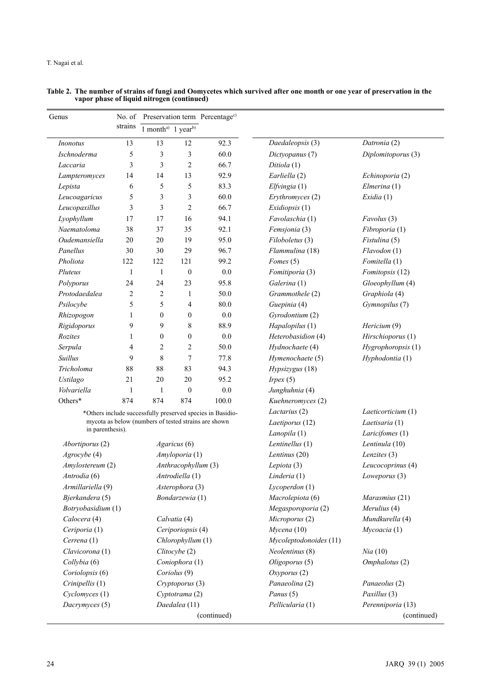T. Nagai et al.

| Genus                              |              | No. of Preservation term Percentage <sup>c)</sup>    |                        |                                                            |                    |                    |  |  |
|------------------------------------|--------------|------------------------------------------------------|------------------------|------------------------------------------------------------|--------------------|--------------------|--|--|
|                                    | strains      | 1 month <sup>a)</sup> 1 year <sup>b)</sup>           |                        |                                                            |                    |                    |  |  |
| <i>Inonotus</i>                    | 13           | 13                                                   | 12                     | 92.3                                                       | Daedaleopsis (3)   | Datronia (2)       |  |  |
| Ischnoderma                        | 5            | 3                                                    | 3                      | 60.0                                                       | Dictyopanus (7)    | Diplomitoporus (3) |  |  |
| Laccaria                           | 3            | 3                                                    | $\overline{c}$         | 66.7                                                       | Ditiola (1)        |                    |  |  |
| Lampteromyces                      | 14           | 14                                                   | 13                     | 92.9                                                       | Earliella (2)      | Echinoporia (2)    |  |  |
| Lepista                            | 6            | 5                                                    | 5                      | 83.3                                                       | Elfvingia (1)      | Elmerina(1)        |  |  |
| Leucoagaricus                      | 5            | 3                                                    | 3                      | 60.0                                                       | Erythromyces (2)   | Exidia(1)          |  |  |
| Leucopaxillus                      | 3            | 3                                                    | $\overline{c}$         | 66.7                                                       | Exidiopsis (1)     |                    |  |  |
| Lyophyllum                         | 17           | 17                                                   | 16                     | 94.1                                                       | Favolaschia (1)    | <i>Favolus</i> (3) |  |  |
| Naematoloma                        | 38           | 37                                                   | 35                     | 92.1                                                       | Femsjonia (3)      | Fibroporia (1)     |  |  |
| Oudemansiella                      | 20           | 20                                                   | 19                     | 95.0                                                       | Filoboletus (3)    | Fistulina (5)      |  |  |
| Panellus                           | 30           | 30                                                   | 29                     | 96.7                                                       | Flammulina (18)    | Flavodon (1)       |  |  |
| Pholiota                           | 122          | 122                                                  | 121                    | 99.2                                                       | Fomes (5)          | Fomitella (1)      |  |  |
| Pluteus                            | $\mathbf{1}$ | 1                                                    | $\boldsymbol{0}$       | 0.0                                                        | Fomitiporia (3)    | Fomitopsis (12)    |  |  |
| Polyporus                          | 24           | 24                                                   | 23                     | 95.8                                                       | Galerina (1)       | Gloeophyllum (4)   |  |  |
| Protodaedalea                      | 2            | $\overline{2}$                                       | 1                      | 50.0                                                       | Grammothele (2)    | Graphiola (4)      |  |  |
| Psilocybe                          | 5            | 5                                                    | 4                      | 80.0                                                       | Guepinia (4)       | Gymnopilus (7)     |  |  |
| Rhizopogon                         | $\mathbf{1}$ | $\boldsymbol{0}$                                     | $\boldsymbol{0}$       | 0.0                                                        | Gyrodontium (2)    |                    |  |  |
| Rigidoporus                        | 9            | 9                                                    | 8                      | 88.9                                                       | Hapalopilus (1)    |                    |  |  |
|                                    |              |                                                      |                        |                                                            |                    | Hericium (9)       |  |  |
| Rozites                            | 1            | $\mathbf{0}$                                         | $\boldsymbol{0}$       | 0.0                                                        | Heterobasidion (4) | Hirschioporus (1)  |  |  |
| Serpula                            | 4            | $\overline{2}$                                       | $\overline{c}$         | 50.0                                                       | Hydnochaete (4)    | Hygrophoropsis (1) |  |  |
| Suillus                            | 9            | 8                                                    | $\tau$                 | 77.8                                                       | Hymenochaete (5)   | Hyphodontia (1)    |  |  |
| Tricholoma                         | 88           | 88                                                   | 83                     | 94.3                                                       | Hypsizygus (18)    |                    |  |  |
| Ustilago                           | 21           | 20                                                   | $20\,$                 | 95.2                                                       | Irpex(5)           |                    |  |  |
| Volvariella                        | 1            | 1                                                    | $\boldsymbol{0}$       | 0.0                                                        | Junghuhnia (4)     |                    |  |  |
| Others*                            | 874          | 874                                                  | 874                    | 100.0                                                      | Kuehneromyces (2)  |                    |  |  |
|                                    |              |                                                      |                        | *Others include successfully preserved species in Basidio- | Lactarius (2)      | Laeticorticium (1) |  |  |
|                                    |              | mycota as below (numbers of tested strains are shown |                        |                                                            | Laetiporus (12)    | Laetisaria (1)     |  |  |
| in parenthesis).                   |              |                                                      |                        | Lanopila (1)                                               | Laricifomes (1)    |                    |  |  |
| Abortiporus (2)                    |              |                                                      | Agaricus (6)           |                                                            | Lentinellus (1)    | Lentinula (10)     |  |  |
| Agrocybe (4)                       |              |                                                      | Amyloporia (1)         |                                                            | Lentinus (20)      | Lenzites (3)       |  |  |
| Amylostereum (2)                   |              |                                                      | Anthracophyllum (3)    |                                                            | Lepiota (3)        | Leucocoprinus (4)  |  |  |
| Antrodia (6)                       |              |                                                      | Antrodiella (1)        |                                                            | Linderia (1)       | Loweporus (3)      |  |  |
| Armillariella (9)                  |              |                                                      | Asterophora (3)        |                                                            | Lycoperdon (1)     |                    |  |  |
| Bjerkandera (5)                    |              |                                                      | Bondarzewia (1)        |                                                            | Macrolepiota (6)   | Marasmius (21)     |  |  |
| Botryobasidium (1)                 |              |                                                      |                        |                                                            | Megasporoporia (2) | Merulius (4)       |  |  |
| Calocera (4)<br>Calvatia (4)       |              |                                                      | Microporus (2)         | Mundkurella (4)                                            |                    |                    |  |  |
| Ceriporia (1)<br>Ceriporiopsis (4) |              |                                                      | Mycena (10)            | Mycoacia (1)                                               |                    |                    |  |  |
| Cerrena (1)<br>Chlorophyllum (1)   |              |                                                      | Mycoleptodonoides (11) |                                                            |                    |                    |  |  |
| Clavicorona (1)<br>Clitocybe (2)   |              |                                                      | Neolentinus (8)        | Nia(10)                                                    |                    |                    |  |  |
| Collybia (6)<br>Coniophora (1)     |              |                                                      | Oligoporus (5)         | Omphalotus (2)                                             |                    |                    |  |  |
| Coriolopsis (6)<br>Coriolus (9)    |              |                                                      | Oxyporus (2)           |                                                            |                    |                    |  |  |
| Crinipellis (1)                    |              |                                                      | Cryptoporus (3)        |                                                            | Panaeolina (2)     | Panaeolus (2)      |  |  |
| Cyclomyces (1)                     |              |                                                      | Cyptotrama (2)         |                                                            | Panus (5)          | Paxillus (3)       |  |  |
| Dacrymyces (5)                     |              |                                                      | Daedalea (11)          |                                                            | Pellicularia (1)   | Perenniporia (13)  |  |  |
|                                    |              |                                                      |                        | (continued)                                                |                    | (continued)        |  |  |

#### **Table 2. The number of strains of fungi and Oomycetes which survived after one month or one year of preservation in the vapor phase of liquid nitrogen (continued)**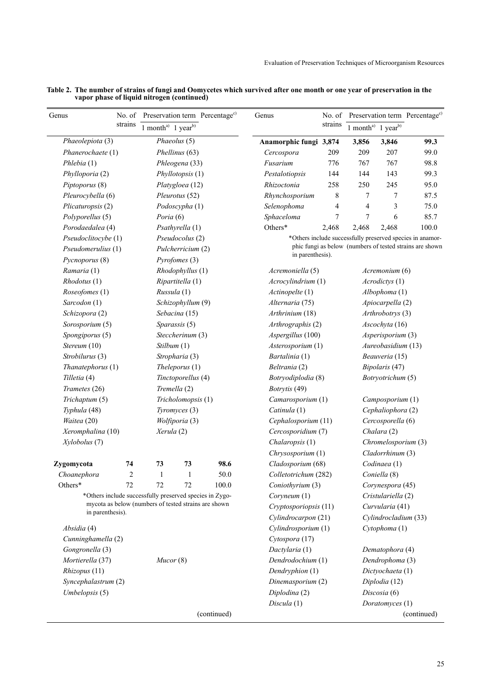| Genus                               | No. of                                                                                                          | Preservation term Percentage <sup>c)</sup> |                    |                        | Genus                                                     | No. of           | Preservation term Percentage <sup>c)</sup> |                      |             |
|-------------------------------------|-----------------------------------------------------------------------------------------------------------------|--------------------------------------------|--------------------|------------------------|-----------------------------------------------------------|------------------|--------------------------------------------|----------------------|-------------|
| strains                             |                                                                                                                 | 1 month <sup>a)</sup> 1 year <sup>b)</sup> |                    |                        |                                                           | strains          | 1 month <sup>a)</sup> 1 year <sup>b)</sup> |                      |             |
| Phaeolepiota (3)                    |                                                                                                                 | Phaeolus (5)                               |                    | Anamorphic fungi 3,874 |                                                           | 3,856            | 3,846                                      | 99.3                 |             |
|                                     | Phanerochaete (1)<br>Phellinus (63)                                                                             |                                            |                    |                        | Cercospora                                                | 209              | 209                                        | 207                  | 99.0        |
| Phlebia (1)                         | Phleogena (33)                                                                                                  |                                            |                    | Fusarium               | 776                                                       | 767              | 767                                        | 98.8                 |             |
| Phylloporia (2)                     |                                                                                                                 |                                            | Phyllotopsis (1)   |                        | Pestalotiopsis                                            | 144              | 144                                        | 143                  | 99.3        |
| Piptoporus (8)                      |                                                                                                                 |                                            | Platygloea (12)    |                        | Rhizoctonia                                               | 258              | 250                                        | 245                  | 95.0        |
| Pleurocybella (6)                   |                                                                                                                 | Rhynchosporium                             | 8                  | 7                      | 7                                                         | 87.5             |                                            |                      |             |
| Plicaturopsis (2)                   | Pleurotus (52)<br>Podoscypha (1)                                                                                |                                            |                    |                        | Selenophoma                                               | 4                | 4                                          | 3                    | 75.0        |
| Polyporellus (5)                    | Poria (6)                                                                                                       |                                            |                    | Sphaceloma             | 7                                                         | $\boldsymbol{7}$ | 6                                          | 85.7                 |             |
|                                     | Porodaedalea (4)<br>Psathyrella (1)                                                                             |                                            |                    |                        | Others*                                                   | 2,468            | 2,468                                      | 2,468                | 100.0       |
| Pseudoclitocybe (1)                 |                                                                                                                 |                                            | Pseudocolus (2)    |                        | *Others include successfully preserved species in anamor- |                  |                                            |                      |             |
| Pseudomerulius (1)                  |                                                                                                                 |                                            | Pulcherricium (2)  |                        | phic fungi as below (numbers of tested strains are shown  |                  |                                            |                      |             |
| Pycnoporus (8)                      |                                                                                                                 |                                            | Pyrofomes (3)      |                        | in parenthesis).                                          |                  |                                            |                      |             |
| Ramaria (1)                         |                                                                                                                 |                                            | Rhodophyllus (1)   |                        | Acremoniella (5)                                          |                  | Acremonium (6)                             |                      |             |
| Rhodotus (1)                        |                                                                                                                 |                                            | Ripartitella (1)   |                        | Acrocylindrium (1)                                        |                  | Acrodictys (1)                             |                      |             |
| Roseofomes (1)                      |                                                                                                                 |                                            | Russula (1)        |                        | Actinopelte (1)                                           | Albophoma (1)    |                                            |                      |             |
| Sarcodon (1)                        |                                                                                                                 |                                            | Schizophyllum (9)  |                        | Alternaria (75)                                           | Apiocarpella (2) |                                            |                      |             |
| Schizopora (2)                      |                                                                                                                 |                                            |                    |                        | Arthrinium (18)                                           |                  | Arthrobotrys (3)                           |                      |             |
| Sorosporium (5)                     | Sebacina (15)<br>Sparassis (5)                                                                                  |                                            |                    |                        | Arthrographis (2)                                         |                  | Ascochyta (16)                             |                      |             |
| Spongiporus (5)                     | Steccherinum (3)                                                                                                |                                            |                    |                        | Aspergillus (100)                                         |                  | Asperisporium (3)                          |                      |             |
| Stereum (10)                        | Stilbum (1)                                                                                                     |                                            |                    |                        | Asterosporium (1)                                         |                  |                                            | Aureobasidium (13)   |             |
| Strobilurus (3)                     | Stropharia (3)                                                                                                  |                                            |                    |                        | Bartalinia (1)                                            |                  |                                            | Beauveria (15)       |             |
| Thanatephorus (1)<br>Theleporus (1) |                                                                                                                 |                                            |                    | Beltrania (2)          |                                                           |                  | Bipolaris (47)                             |                      |             |
| Tilletia (4)                        | Tinctoporellus (4)                                                                                              |                                            |                    |                        | Botryodiplodia (8)                                        |                  |                                            | Botryotrichum (5)    |             |
| Trametes (26)                       |                                                                                                                 |                                            | Tremella (2)       |                        | Botrytis (49)                                             |                  |                                            |                      |             |
| Trichaptum (5)                      |                                                                                                                 |                                            | Tricholomopsis (1) |                        | Camarosporium (1)                                         |                  |                                            | Camposporium (1)     |             |
|                                     |                                                                                                                 |                                            |                    |                        |                                                           |                  |                                            |                      |             |
| Typhula (48)                        |                                                                                                                 | Tyromyces (3)                              |                    |                        | Catinula (1)                                              |                  |                                            | Cephaliophora (2)    |             |
| Waitea (20)                         |                                                                                                                 | Wolfiporia (3)                             |                    |                        | Cephalosporium (11)                                       |                  |                                            | Cercosporella (6)    |             |
| Xeromphalina (10)                   |                                                                                                                 | Xerula (2)                                 |                    | Cercosporidium (7)     |                                                           |                  | Chalara (2)                                |                      |             |
| <i>Xylobolus</i> (7)                |                                                                                                                 |                                            |                    |                        | Chalaropsis (1)                                           |                  | Chromelosporium (3)                        |                      |             |
|                                     |                                                                                                                 |                                            |                    |                        | Chrysosporium (1)                                         | Cladorrhinum (3) |                                            |                      |             |
| Zygomycota                          | 74                                                                                                              | 73                                         | 73                 | 98.6                   | Cladosporium (68)                                         |                  |                                            | Codinaea (1)         |             |
| Choanephora                         | $\mathfrak{D}$                                                                                                  | -1                                         | -1                 | 50.0                   | Colletotrichum (282)                                      |                  |                                            | Coniella (8)         |             |
| Others*                             | 72                                                                                                              | 72                                         | 72                 | 100.0                  | Coniothyrium (3)                                          |                  |                                            | Corynespora (45)     |             |
|                                     | *Others include successfully preserved species in Zygo-<br>mycota as below (numbers of tested strains are shown |                                            |                    |                        | Coryneum (1)                                              |                  | Cristulariella (2)                         |                      |             |
| in parenthesis).                    |                                                                                                                 |                                            |                    |                        | Cryptosporiopsis (11)                                     |                  |                                            | Curvularia (41)      |             |
|                                     |                                                                                                                 |                                            |                    |                        | Cylindrocarpon (21)                                       |                  |                                            | Cylindrocladium (33) |             |
| Absidia (4)                         |                                                                                                                 |                                            |                    |                        | Cylindrosporium (1)                                       |                  |                                            | Cytophoma (1)        |             |
| Cunninghamella (2)                  |                                                                                                                 |                                            |                    |                        | Cytospora (17)                                            |                  |                                            |                      |             |
| Gongronella (3)                     |                                                                                                                 |                                            |                    | Dactylaria (1)         |                                                           | Dematophora (4)  |                                            |                      |             |
| Mortierella (37)<br>Mucor(8)        |                                                                                                                 |                                            |                    | Dendrodochium (1)      |                                                           | Dendrophoma (3)  |                                            |                      |             |
| Rhizopus (11)                       |                                                                                                                 |                                            |                    |                        | Dendryphion (1)                                           |                  |                                            | Dictyochaeta (1)     |             |
| Syncephalastrum (2)                 |                                                                                                                 |                                            |                    |                        | Dinemasporium (2)                                         |                  | Diplodia (12)                              |                      |             |
| Umbelopsis (5)                      |                                                                                                                 |                                            |                    |                        | Diplodina (2)                                             |                  |                                            | Discosia (6)         |             |
|                                     |                                                                                                                 |                                            |                    |                        | Discula (1)                                               |                  |                                            | Doratomyces (1)      |             |
|                                     |                                                                                                                 |                                            |                    | (continued)            |                                                           |                  |                                            |                      | (continued) |

**Table 2. The number of strains of fungi and Oomycetes which survived after one month or one year of preservation in the vapor phase of liquid nitrogen (continued)**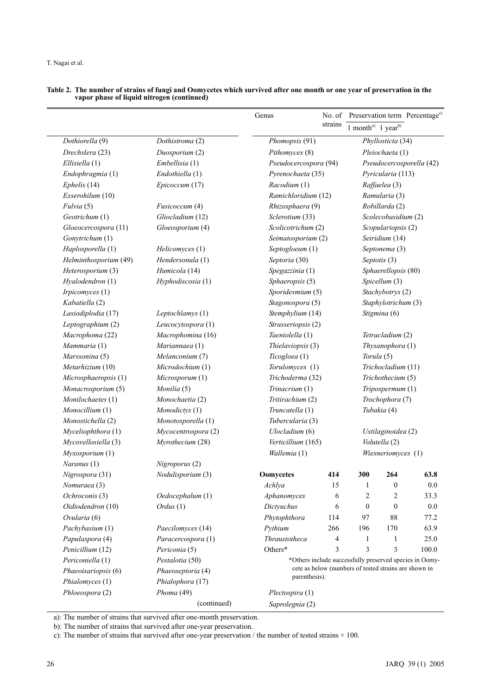|                                    |                           | Genus               | No. of                |                                                         |                          | Preservation term Percentage <sup>c)</sup> |  |
|------------------------------------|---------------------------|---------------------|-----------------------|---------------------------------------------------------|--------------------------|--------------------------------------------|--|
|                                    |                           | strains             |                       | 1 month <sup>a)</sup> 1 year <sup>b)</sup>              |                          |                                            |  |
| Dothiorella (9)                    | Dothistroma (2)           | Phomopsis (91)      | Phyllosticta (34)     |                                                         |                          |                                            |  |
| Drechslera (23)                    | Duosporium (2)            | Pithomyces (8)      |                       |                                                         | Pleiochaeta (1)          |                                            |  |
| Ellisiella (1)                     | Embellisia (1)            |                     | Pseudocercospora (94) |                                                         | Pseudocercosporella (42) |                                            |  |
| Endophragmia (1)                   | Endothiella (1)           |                     | Pyrenochaeta (35)     |                                                         | Pyricularia (113)        |                                            |  |
| Ephelis (14)                       | Epicoccum (17)            | Racodium (1)        |                       | Raffaelea (3)                                           |                          |                                            |  |
| Exserohilum (10)                   |                           | Ramichloridium (12) |                       |                                                         | Ramularia (3)            |                                            |  |
| Fulvia (5)                         | Fusicoccum (4)            | Rhizosphaera (9)    |                       | Robillarda (2)                                          |                          |                                            |  |
| Geotrichum (1)                     | Gliocladium (12)          | Sclerotium (33)     |                       | Scolecobasidium (2)                                     |                          |                                            |  |
| Gloeocercospora (11)               | Gloeosporium (4)          | Scolicotrichum (2)  |                       | Scopulariopsis (2)                                      |                          |                                            |  |
| Gonytrichum (1)                    |                           | Seimatosporium (2)  |                       |                                                         | Seiridium (14)           |                                            |  |
| Haplosporella (1)                  | Helicomyces (1)           | Septogloeum (1)     |                       |                                                         | Septonema (3)            |                                            |  |
| Helminthosporium (49)              | Hendersonula (1)          | Septoria (30)       |                       |                                                         | Septotis (3)             |                                            |  |
| Heterosporium (3)                  | Humicola (14)             | Spegazzinia (1)     |                       | Sphaerellopsis (80)                                     |                          |                                            |  |
| Hyalodendron (1)                   | Hyphodiscosia (1)         | Sphaeropsis (5)     |                       | Spicellum (3)                                           |                          |                                            |  |
| Irpicomyces (1)                    |                           | Sporidesmium (5)    |                       | Stachybotrys (2)                                        |                          |                                            |  |
| Kabatiella (2)                     |                           | Stagonospora (5)    |                       | Staphylotrichum (3)                                     |                          |                                            |  |
| Lasiodiplodia (17)                 | Leptochlamys (1)          | Stemphylium (14)    | Stigmina (6)          |                                                         |                          |                                            |  |
| Leptographium (2)                  | Leucocytospora (1)        | Strasseriopsis (2)  |                       |                                                         |                          |                                            |  |
| Macrophoma (22)                    | Macrophomina (16)         | Taeniolella (1)     |                       |                                                         | Tetracladium (2)         |                                            |  |
| Mammaria (1)<br>Mariannaea (1)     |                           | Thielaviopsis (3)   |                       | Thysanophora (1)                                        |                          |                                            |  |
| Marssonina (5)                     | Melanconium (7)           | Ticogloea (1)       |                       | Torula (5)                                              |                          |                                            |  |
| Metarhizium (10)                   | Microdochium (1)          | Torulomyces (1)     |                       |                                                         | Trichocladium (11)       |                                            |  |
| Microsphaeropsis (1)               | Microsporum (1)           | Trichoderma (32)    |                       | Trichothecium (5)                                       |                          |                                            |  |
| Monacrosporium (5)                 | Monilia (5)               | Trinacrium (1)      |                       |                                                         | Tripospermum (1)         |                                            |  |
| Monilochaetes (1)                  | Monochaetia (2)           | Tritirachium (2)    |                       |                                                         | Trochophora (7)          |                                            |  |
| Monocillium (1)                    | Monodictys (1)            | Truncatella (1)     |                       |                                                         | Tubakia (4)              |                                            |  |
| Monostichella (2)                  | Monotosporella (1)        | Tubercularia (3)    |                       |                                                         |                          |                                            |  |
| Myceliophthora (1)                 | Mycocentrospora (2)       | Ulocladium (6)      |                       |                                                         | Ustilaginoidea (2)       |                                            |  |
| Mycovellosiella (3)                | Myrothecium (28)          | Verticillium (165)  |                       | Volutella (2)                                           |                          |                                            |  |
| Myxosporium (1)                    |                           | Wallemia (1)        |                       | Wiesneriomyces (1)                                      |                          |                                            |  |
| Naranus (1)                        | Nigroporus (2)            |                     |                       |                                                         |                          |                                            |  |
| Nigrospora (31)                    | Nodulisporium (3)         | <b>Oomvcetes</b>    | 414                   | 300                                                     | 264                      | 63.8                                       |  |
| Nomuraea (3)                       |                           | Achlya              | 15                    | 1                                                       | $\boldsymbol{0}$         | 0.0                                        |  |
| Ochroconis (3)                     | Oedocephalum (1)          | Aphanomyces         | 6                     | 2                                                       | 2                        | 33.3                                       |  |
| Oidiodendron (10)                  | Ordus(1)                  | Dictyuchus          | 6                     | $\boldsymbol{0}$                                        | $\theta$                 | $0.0\,$                                    |  |
| Ovularia (6)                       |                           | Phytophthora        | 114                   | 97                                                      | 88                       | 77.2                                       |  |
| Pachybasium (1)                    | Paecilomyces (14)         | Pythium             | 266                   | 196                                                     | 170                      | 63.9                                       |  |
| Papulaspora (4)                    | Paracercospora (1)        | Thraustotheca       | 4                     | $\mathbf{1}$                                            | 1                        | 25.0                                       |  |
| Penicillium (12)                   | Periconia (5)             | Others*             | 3                     | 3                                                       | 3                        | 100.0                                      |  |
| Periconiella (1)                   | Pestalotia (50)           |                     |                       | *Others include successfully preserved species in Oomy- |                          |                                            |  |
| Phaeoisariopsis (6)                | Phaeoseptoria (4)         |                     |                       | cete as below (numbers of tested strains are shown in   |                          |                                            |  |
|                                    | Phialophora (17)          | parenthesis).       |                       |                                                         |                          |                                            |  |
| Phialomyces (1)<br>Phloeospora (2) |                           |                     |                       |                                                         |                          |                                            |  |
|                                    | Phoma (49)<br>(continued) | Plectospira (1)     |                       |                                                         |                          |                                            |  |
|                                    |                           | Saprolegnia (2)     |                       |                                                         |                          |                                            |  |

#### **Table 2. The number of strains of fungi and Oomycetes which survived after one month or one year of preservation in the vapor phase of liquid nitrogen (continued)**

a): The number of strains that survived after one-month preservation.

b): The number of strains that survived after one-year preservation.

c): The number of strains that survived after one-year preservation / the number of tested strains  $\times$  100.